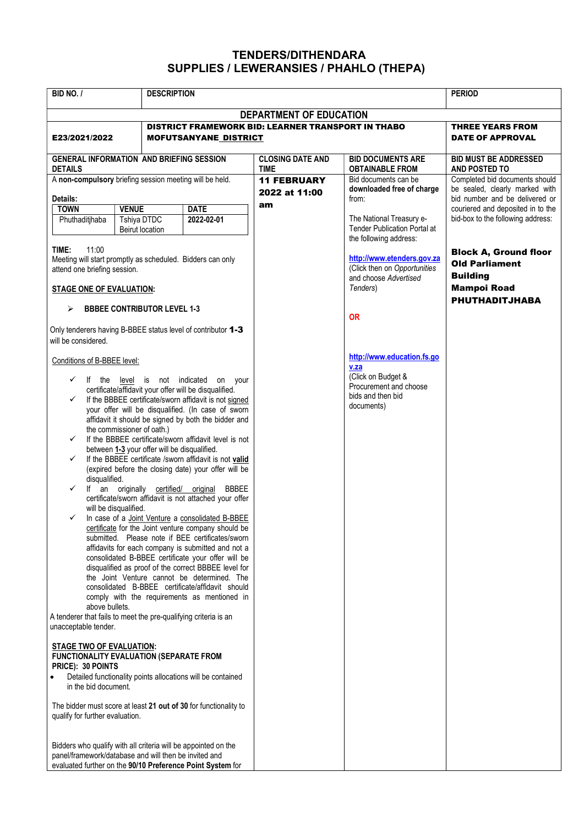## TENDERS/DITHENDARA SUPPLIES / LEWERANSIES / PHAHLO (THEPA)

| BID NO. /<br><b>DESCRIPTION</b>                                                                                                                                                                                                                                                                                                                                                                                                                                                                                                                                                                                                                                                                                                                                                                                                                                                                                                                                                                                                                                                                                                                                                                                                                                                                                                                                             |                                                              |                              |                                                                                             | <b>PERIOD</b>                                                                                                         |                                                                                                          |  |
|-----------------------------------------------------------------------------------------------------------------------------------------------------------------------------------------------------------------------------------------------------------------------------------------------------------------------------------------------------------------------------------------------------------------------------------------------------------------------------------------------------------------------------------------------------------------------------------------------------------------------------------------------------------------------------------------------------------------------------------------------------------------------------------------------------------------------------------------------------------------------------------------------------------------------------------------------------------------------------------------------------------------------------------------------------------------------------------------------------------------------------------------------------------------------------------------------------------------------------------------------------------------------------------------------------------------------------------------------------------------------------|--------------------------------------------------------------|------------------------------|---------------------------------------------------------------------------------------------|-----------------------------------------------------------------------------------------------------------------------|----------------------------------------------------------------------------------------------------------|--|
| DEPARTMENT OF EDUCATION                                                                                                                                                                                                                                                                                                                                                                                                                                                                                                                                                                                                                                                                                                                                                                                                                                                                                                                                                                                                                                                                                                                                                                                                                                                                                                                                                     |                                                              |                              |                                                                                             |                                                                                                                       |                                                                                                          |  |
| E23/2021/2022                                                                                                                                                                                                                                                                                                                                                                                                                                                                                                                                                                                                                                                                                                                                                                                                                                                                                                                                                                                                                                                                                                                                                                                                                                                                                                                                                               |                                                              | <b>MOFUTSANYANE DISTRICT</b> | <b>DISTRICT FRAMEWORK BID: LEARNER TRANSPORT IN THABO</b>                                   |                                                                                                                       | <b>THREE YEARS FROM</b><br><b>DATE OF APPROVAL</b>                                                       |  |
| <b>GENERAL INFORMATION AND BRIEFING SESSION</b><br><b>DETAILS</b>                                                                                                                                                                                                                                                                                                                                                                                                                                                                                                                                                                                                                                                                                                                                                                                                                                                                                                                                                                                                                                                                                                                                                                                                                                                                                                           |                                                              |                              | <b>CLOSING DATE AND</b><br><b>TIME</b>                                                      | <b>BID DOCUMENTS ARE</b><br><b>OBTAINABLE FROM</b>                                                                    | <b>BID MUST BE ADDRESSED</b><br>AND POSTED TO                                                            |  |
| A non-compulsory briefing session meeting will be held.                                                                                                                                                                                                                                                                                                                                                                                                                                                                                                                                                                                                                                                                                                                                                                                                                                                                                                                                                                                                                                                                                                                                                                                                                                                                                                                     |                                                              |                              | <b>11 FEBRUARY</b><br>2022 at 11:00                                                         | Bid documents can be<br>downloaded free of charge                                                                     | Completed bid documents should<br>be sealed, clearly marked with                                         |  |
| Details:<br><b>TOWN</b><br>Phuthaditjhaba                                                                                                                                                                                                                                                                                                                                                                                                                                                                                                                                                                                                                                                                                                                                                                                                                                                                                                                                                                                                                                                                                                                                                                                                                                                                                                                                   | <b>VENUE</b><br><b>Tshiya DTDC</b><br><b>Beirut location</b> | <b>DATE</b><br>2022-02-01    | am                                                                                          | from:<br>The National Treasury e-<br><b>Tender Publication Portal at</b>                                              | bid number and be delivered or<br>couriered and deposited in to the<br>bid-box to the following address: |  |
| TIME:<br>11:00<br>Meeting will start promptly as scheduled. Bidders can only<br>attend one briefing session.                                                                                                                                                                                                                                                                                                                                                                                                                                                                                                                                                                                                                                                                                                                                                                                                                                                                                                                                                                                                                                                                                                                                                                                                                                                                |                                                              |                              | the following address:<br>(Click then on Opportunities<br>and choose Advertised<br>Tenders) | http://www.etenders.gov.za                                                                                            | <b>Block A, Ground floor</b><br><b>Old Parliament</b>                                                    |  |
| <b>STAGE ONE OF EVALUATION:</b>                                                                                                                                                                                                                                                                                                                                                                                                                                                                                                                                                                                                                                                                                                                                                                                                                                                                                                                                                                                                                                                                                                                                                                                                                                                                                                                                             |                                                              |                              |                                                                                             | <b>Building</b><br><b>Mampoi Road</b><br><b>PHUTHADITJHABA</b>                                                        |                                                                                                          |  |
| <b>BBBEE CONTRIBUTOR LEVEL 1-3</b><br>⋗                                                                                                                                                                                                                                                                                                                                                                                                                                                                                                                                                                                                                                                                                                                                                                                                                                                                                                                                                                                                                                                                                                                                                                                                                                                                                                                                     |                                                              |                              |                                                                                             | <b>OR</b>                                                                                                             |                                                                                                          |  |
| Only tenderers having B-BBEE status level of contributor 1-3<br>will be considered.                                                                                                                                                                                                                                                                                                                                                                                                                                                                                                                                                                                                                                                                                                                                                                                                                                                                                                                                                                                                                                                                                                                                                                                                                                                                                         |                                                              |                              |                                                                                             |                                                                                                                       |                                                                                                          |  |
| Conditions of B-BBEE level:<br>$\checkmark$<br>level is not indicated<br>If the<br>on your<br>certificate/affidavit your offer will be disqualified.<br>If the BBBEE certificate/sworn affidavit is not signed<br>$\checkmark$<br>your offer will be disqualified. (In case of sworn<br>affidavit it should be signed by both the bidder and<br>the commissioner of oath.)<br>If the BBBEE certificate/sworn affidavit level is not<br>✓<br>between 1-3 your offer will be disqualified.<br>If the BBBEE certificate /sworn affidavit is not valid<br>✓<br>(expired before the closing date) your offer will be<br>disqualified.<br>$\checkmark$<br>If an originally certified/ original<br><b>BBBEE</b><br>certificate/sworn affidavit is not attached your offer<br>will be disqualified.<br>In case of a Joint Venture a consolidated B-BBEE<br>✓<br>certificate for the Joint venture company should be<br>submitted. Please note if BEE certificates/sworn<br>affidavits for each company is submitted and not a<br>consolidated B-BBEE certificate your offer will be<br>disqualified as proof of the correct BBBEE level for<br>the Joint Venture cannot be determined. The<br>consolidated B-BBEE certificate/affidavit should<br>comply with the requirements as mentioned in<br>above bullets.<br>A tenderer that fails to meet the pre-qualifying criteria is an |                                                              |                              |                                                                                             | http://www.education.fs.go<br>v.za<br>(Click on Budget &<br>Procurement and choose<br>bids and then bid<br>documents) |                                                                                                          |  |
| unacceptable tender.<br>STAGE TWO OF EVALUATION:<br><b>FUNCTIONALITY EVALUATION (SEPARATE FROM</b><br>PRICE): 30 POINTS<br>Detailed functionality points allocations will be contained<br>$\bullet$<br>in the bid document.<br>The bidder must score at least 21 out of 30 for functionality to<br>qualify for further evaluation.                                                                                                                                                                                                                                                                                                                                                                                                                                                                                                                                                                                                                                                                                                                                                                                                                                                                                                                                                                                                                                          |                                                              |                              |                                                                                             |                                                                                                                       |                                                                                                          |  |
| Bidders who qualify with all criteria will be appointed on the<br>panel/framework/database and will then be invited and<br>evaluated further on the 90/10 Preference Point System for                                                                                                                                                                                                                                                                                                                                                                                                                                                                                                                                                                                                                                                                                                                                                                                                                                                                                                                                                                                                                                                                                                                                                                                       |                                                              |                              |                                                                                             |                                                                                                                       |                                                                                                          |  |